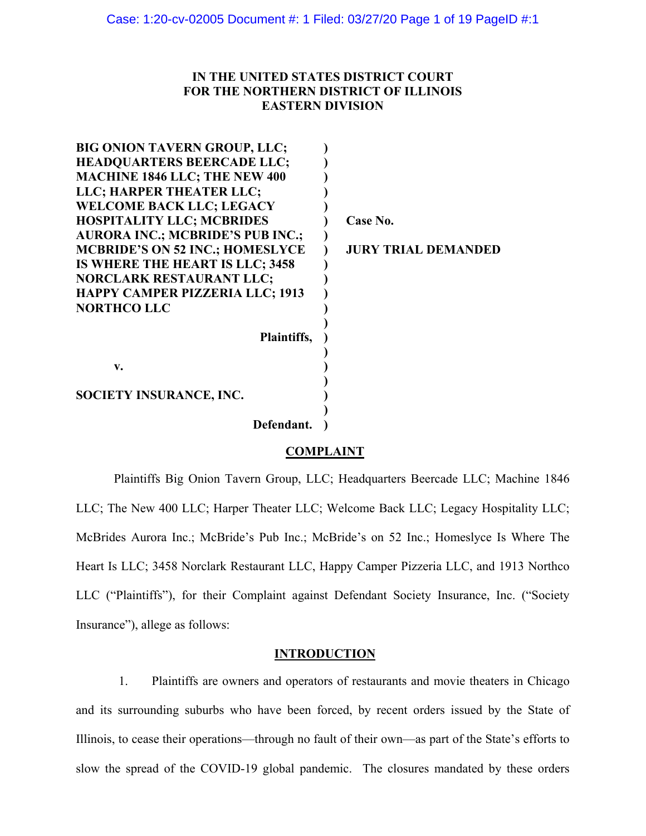# **IN THE UNITED STATES DISTRICT COURT FOR THE NORTHERN DISTRICT OF ILLINOIS EASTERN DIVISION**

| <b>BIG ONION TAVERN GROUP, LLC;</b>     |                            |
|-----------------------------------------|----------------------------|
| <b>HEADQUARTERS BEERCADE LLC;</b>       |                            |
| <b>MACHINE 1846 LLC; THE NEW 400</b>    |                            |
| LLC; HARPER THEATER LLC;                |                            |
| <b>WELCOME BACK LLC; LEGACY</b>         |                            |
| <b>HOSPITALITY LLC; MCBRIDES</b>        | Case No.                   |
| <b>AURORA INC.; MCBRIDE'S PUB INC.;</b> |                            |
| <b>MCBRIDE'S ON 52 INC.; HOMESLYCE</b>  | <b>JURY TRIAL DEMANDED</b> |
| IS WHERE THE HEART IS LLC; 3458         |                            |
| <b>NORCLARK RESTAURANT LLC;</b>         |                            |
| HAPPY CAMPER PIZZERIA LLC; 1913         |                            |
| <b>NORTHCO LLC</b>                      |                            |
|                                         |                            |
| Plaintiffs,                             |                            |
|                                         |                            |
| v.                                      |                            |
|                                         |                            |
| <b>SOCIETY INSURANCE, INC.</b>          |                            |
|                                         |                            |
| Defendant.                              |                            |

## **COMPLAINT**

Plaintiffs Big Onion Tavern Group, LLC; Headquarters Beercade LLC; Machine 1846 LLC; The New 400 LLC; Harper Theater LLC; Welcome Back LLC; Legacy Hospitality LLC; McBrides Aurora Inc.; McBride's Pub Inc.; McBride's on 52 Inc.; Homeslyce Is Where The Heart Is LLC; 3458 Norclark Restaurant LLC, Happy Camper Pizzeria LLC, and 1913 Northco LLC ("Plaintiffs"), for their Complaint against Defendant Society Insurance, Inc. ("Society Insurance"), allege as follows:

### **INTRODUCTION**

1. Plaintiffs are owners and operators of restaurants and movie theaters in Chicago and its surrounding suburbs who have been forced, by recent orders issued by the State of Illinois, to cease their operations—through no fault of their own—as part of the State's efforts to slow the spread of the COVID-19 global pandemic. The closures mandated by these orders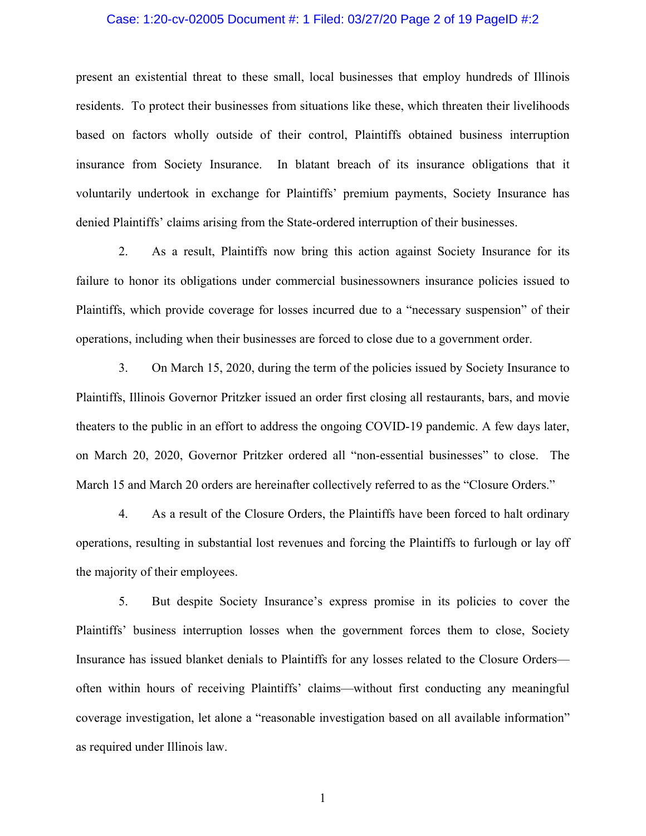#### Case: 1:20-cv-02005 Document #: 1 Filed: 03/27/20 Page 2 of 19 PageID #:2

present an existential threat to these small, local businesses that employ hundreds of Illinois residents. To protect their businesses from situations like these, which threaten their livelihoods based on factors wholly outside of their control, Plaintiffs obtained business interruption insurance from Society Insurance. In blatant breach of its insurance obligations that it voluntarily undertook in exchange for Plaintiffs' premium payments, Society Insurance has denied Plaintiffs' claims arising from the State-ordered interruption of their businesses.

2. As a result, Plaintiffs now bring this action against Society Insurance for its failure to honor its obligations under commercial businessowners insurance policies issued to Plaintiffs, which provide coverage for losses incurred due to a "necessary suspension" of their operations, including when their businesses are forced to close due to a government order.

3. On March 15, 2020, during the term of the policies issued by Society Insurance to Plaintiffs, Illinois Governor Pritzker issued an order first closing all restaurants, bars, and movie theaters to the public in an effort to address the ongoing COVID-19 pandemic. A few days later, on March 20, 2020, Governor Pritzker ordered all "non-essential businesses" to close. The March 15 and March 20 orders are hereinafter collectively referred to as the "Closure Orders."

4. As a result of the Closure Orders, the Plaintiffs have been forced to halt ordinary operations, resulting in substantial lost revenues and forcing the Plaintiffs to furlough or lay off the majority of their employees.

5. But despite Society Insurance's express promise in its policies to cover the Plaintiffs' business interruption losses when the government forces them to close, Society Insurance has issued blanket denials to Plaintiffs for any losses related to the Closure Orders often within hours of receiving Plaintiffs' claims—without first conducting any meaningful coverage investigation, let alone a "reasonable investigation based on all available information" as required under Illinois law.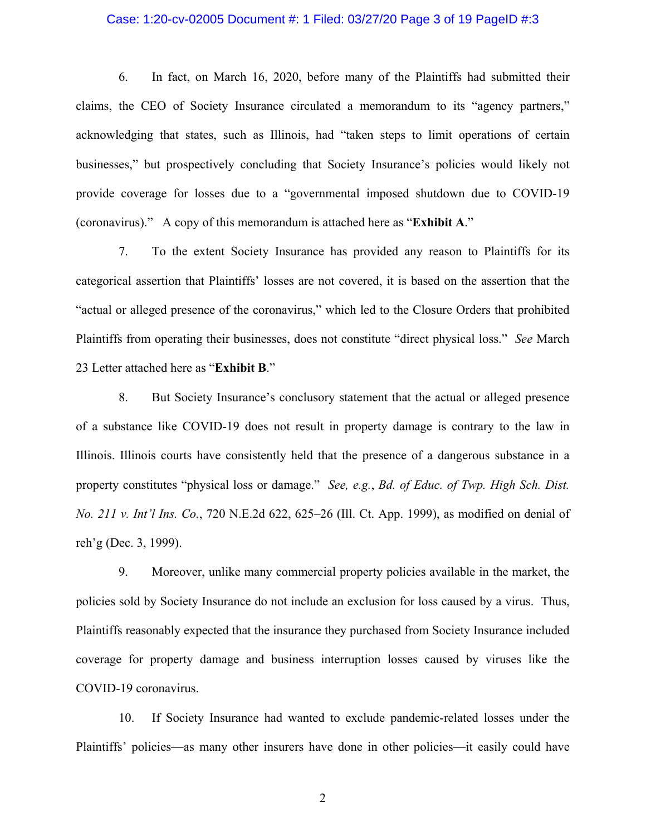#### Case: 1:20-cv-02005 Document #: 1 Filed: 03/27/20 Page 3 of 19 PageID #:3

6. In fact, on March 16, 2020, before many of the Plaintiffs had submitted their claims, the CEO of Society Insurance circulated a memorandum to its "agency partners," acknowledging that states, such as Illinois, had "taken steps to limit operations of certain businesses," but prospectively concluding that Society Insurance's policies would likely not provide coverage for losses due to a "governmental imposed shutdown due to COVID-19 (coronavirus)." A copy of this memorandum is attached here as "**Exhibit A**."

7. To the extent Society Insurance has provided any reason to Plaintiffs for its categorical assertion that Plaintiffs' losses are not covered, it is based on the assertion that the "actual or alleged presence of the coronavirus," which led to the Closure Orders that prohibited Plaintiffs from operating their businesses, does not constitute "direct physical loss." *See* March 23 Letter attached here as "**Exhibit B**."

8. But Society Insurance's conclusory statement that the actual or alleged presence of a substance like COVID-19 does not result in property damage is contrary to the law in Illinois. Illinois courts have consistently held that the presence of a dangerous substance in a property constitutes "physical loss or damage." *See, e.g.*, *Bd. of Educ. of Twp. High Sch. Dist. No. 211 v. Int'l Ins. Co.*, 720 N.E.2d 622, 625–26 (Ill. Ct. App. 1999), as modified on denial of reh'g (Dec. 3, 1999).

9. Moreover, unlike many commercial property policies available in the market, the policies sold by Society Insurance do not include an exclusion for loss caused by a virus. Thus, Plaintiffs reasonably expected that the insurance they purchased from Society Insurance included coverage for property damage and business interruption losses caused by viruses like the COVID-19 coronavirus.

10. If Society Insurance had wanted to exclude pandemic-related losses under the Plaintiffs' policies—as many other insurers have done in other policies—it easily could have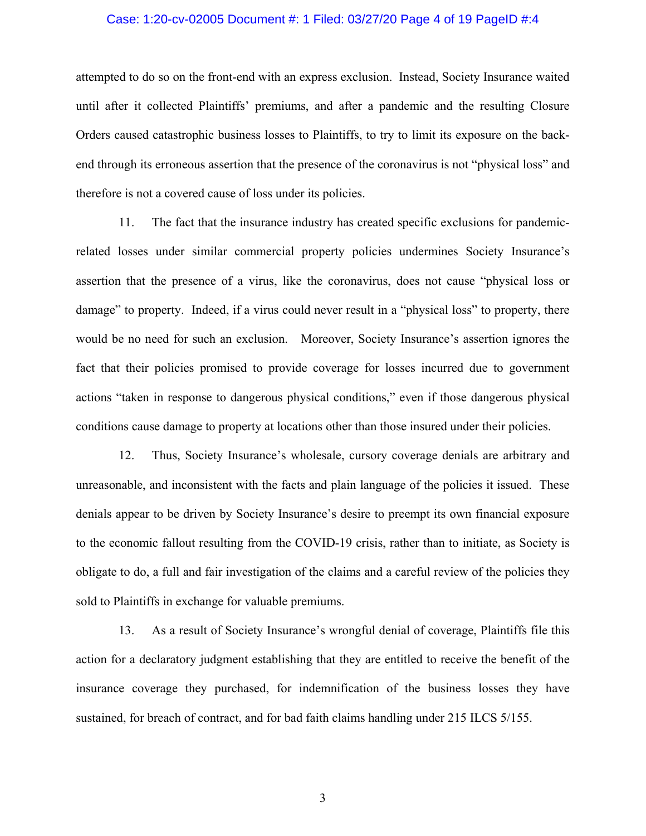#### Case: 1:20-cv-02005 Document #: 1 Filed: 03/27/20 Page 4 of 19 PageID #:4

attempted to do so on the front-end with an express exclusion. Instead, Society Insurance waited until after it collected Plaintiffs' premiums, and after a pandemic and the resulting Closure Orders caused catastrophic business losses to Plaintiffs, to try to limit its exposure on the backend through its erroneous assertion that the presence of the coronavirus is not "physical loss" and therefore is not a covered cause of loss under its policies.

11. The fact that the insurance industry has created specific exclusions for pandemicrelated losses under similar commercial property policies undermines Society Insurance's assertion that the presence of a virus, like the coronavirus, does not cause "physical loss or damage" to property. Indeed, if a virus could never result in a "physical loss" to property, there would be no need for such an exclusion. Moreover, Society Insurance's assertion ignores the fact that their policies promised to provide coverage for losses incurred due to government actions "taken in response to dangerous physical conditions," even if those dangerous physical conditions cause damage to property at locations other than those insured under their policies.

12. Thus, Society Insurance's wholesale, cursory coverage denials are arbitrary and unreasonable, and inconsistent with the facts and plain language of the policies it issued. These denials appear to be driven by Society Insurance's desire to preempt its own financial exposure to the economic fallout resulting from the COVID-19 crisis, rather than to initiate, as Society is obligate to do, a full and fair investigation of the claims and a careful review of the policies they sold to Plaintiffs in exchange for valuable premiums.

13. As a result of Society Insurance's wrongful denial of coverage, Plaintiffs file this action for a declaratory judgment establishing that they are entitled to receive the benefit of the insurance coverage they purchased, for indemnification of the business losses they have sustained, for breach of contract, and for bad faith claims handling under 215 ILCS 5/155.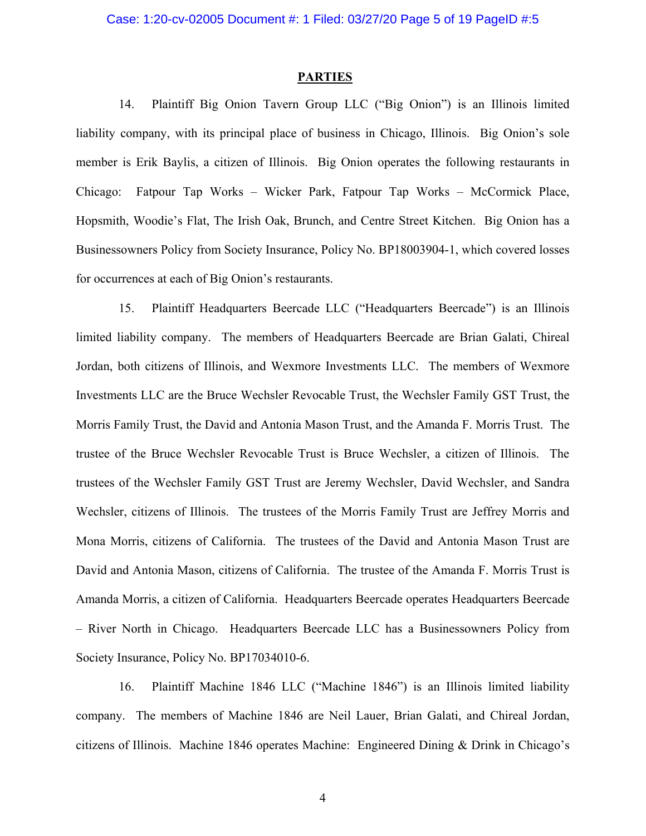### **PARTIES**

14. Plaintiff Big Onion Tavern Group LLC ("Big Onion") is an Illinois limited liability company, with its principal place of business in Chicago, Illinois. Big Onion's sole member is Erik Baylis, a citizen of Illinois. Big Onion operates the following restaurants in Chicago: Fatpour Tap Works – Wicker Park, Fatpour Tap Works – McCormick Place, Hopsmith, Woodie's Flat, The Irish Oak, Brunch, and Centre Street Kitchen. Big Onion has a Businessowners Policy from Society Insurance, Policy No. BP18003904-1, which covered losses for occurrences at each of Big Onion's restaurants.

15. Plaintiff Headquarters Beercade LLC ("Headquarters Beercade") is an Illinois limited liability company. The members of Headquarters Beercade are Brian Galati, Chireal Jordan, both citizens of Illinois, and Wexmore Investments LLC. The members of Wexmore Investments LLC are the Bruce Wechsler Revocable Trust, the Wechsler Family GST Trust, the Morris Family Trust, the David and Antonia Mason Trust, and the Amanda F. Morris Trust. The trustee of the Bruce Wechsler Revocable Trust is Bruce Wechsler, a citizen of Illinois. The trustees of the Wechsler Family GST Trust are Jeremy Wechsler, David Wechsler, and Sandra Wechsler, citizens of Illinois. The trustees of the Morris Family Trust are Jeffrey Morris and Mona Morris, citizens of California. The trustees of the David and Antonia Mason Trust are David and Antonia Mason, citizens of California. The trustee of the Amanda F. Morris Trust is Amanda Morris, a citizen of California. Headquarters Beercade operates Headquarters Beercade – River North in Chicago. Headquarters Beercade LLC has a Businessowners Policy from Society Insurance, Policy No. BP17034010-6.

16. Plaintiff Machine 1846 LLC ("Machine 1846") is an Illinois limited liability company. The members of Machine 1846 are Neil Lauer, Brian Galati, and Chireal Jordan, citizens of Illinois. Machine 1846 operates Machine: Engineered Dining & Drink in Chicago's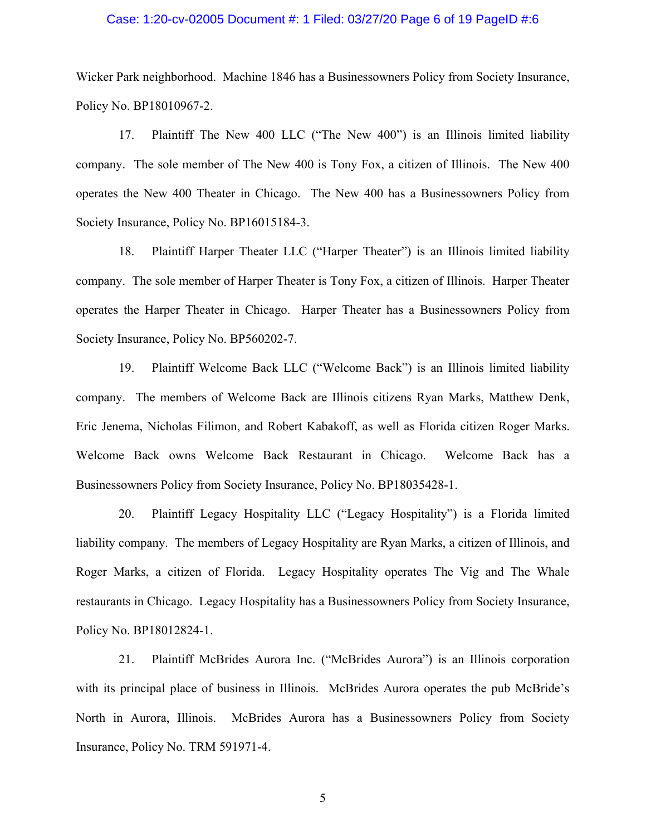#### Case: 1:20-cv-02005 Document #: 1 Filed: 03/27/20 Page 6 of 19 PageID #:6

Wicker Park neighborhood. Machine 1846 has a Businessowners Policy from Society Insurance, Policy No. BP18010967-2.

17. Plaintiff The New 400 LLC ("The New 400") is an Illinois limited liability company. The sole member of The New 400 is Tony Fox, a citizen of Illinois. The New 400 operates the New 400 Theater in Chicago. The New 400 has a Businessowners Policy from Society Insurance, Policy No. BP16015184-3.

18. Plaintiff Harper Theater LLC ("Harper Theater") is an Illinois limited liability company. The sole member of Harper Theater is Tony Fox, a citizen of Illinois. Harper Theater operates the Harper Theater in Chicago. Harper Theater has a Businessowners Policy from Society Insurance, Policy No. BP560202-7.

19. Plaintiff Welcome Back LLC ("Welcome Back") is an Illinois limited liability company. The members of Welcome Back are Illinois citizens Ryan Marks, Matthew Denk, Eric Jenema, Nicholas Filimon, and Robert Kabakoff, as well as Florida citizen Roger Marks. Welcome Back owns Welcome Back Restaurant in Chicago. Welcome Back has a Businessowners Policy from Society Insurance, Policy No. BP18035428-1.

20. Plaintiff Legacy Hospitality LLC ("Legacy Hospitality") is a Florida limited liability company. The members of Legacy Hospitality are Ryan Marks, a citizen of Illinois, and Roger Marks, a citizen of Florida. Legacy Hospitality operates The Vig and The Whale restaurants in Chicago. Legacy Hospitality has a Businessowners Policy from Society Insurance, Policy No. BP18012824-1.

21. Plaintiff McBrides Aurora Inc. ("McBrides Aurora") is an Illinois corporation with its principal place of business in Illinois. McBrides Aurora operates the pub McBride's North in Aurora, Illinois. McBrides Aurora has a Businessowners Policy from Society Insurance, Policy No. TRM 591971-4.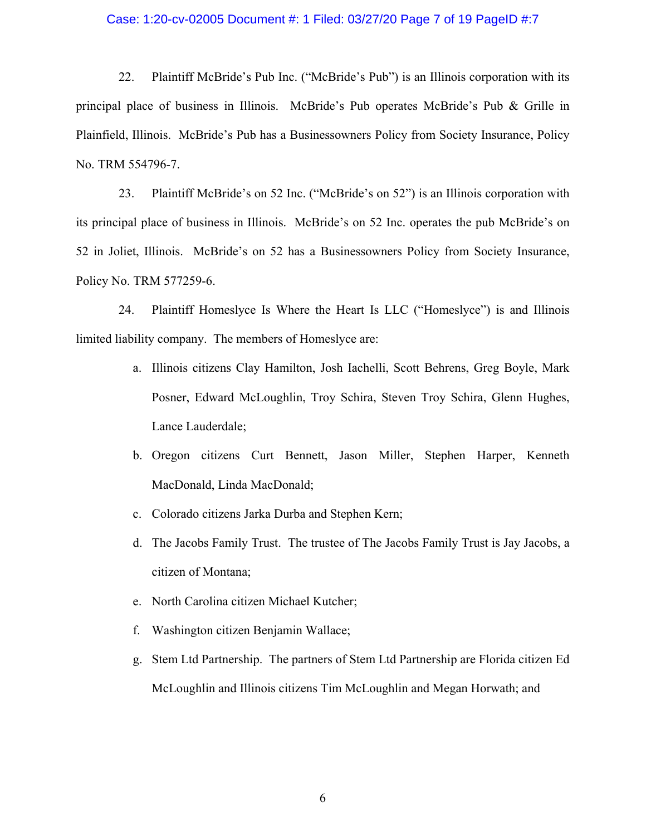#### Case: 1:20-cv-02005 Document #: 1 Filed: 03/27/20 Page 7 of 19 PageID #:7

22. Plaintiff McBride's Pub Inc. ("McBride's Pub") is an Illinois corporation with its principal place of business in Illinois. McBride's Pub operates McBride's Pub & Grille in Plainfield, Illinois. McBride's Pub has a Businessowners Policy from Society Insurance, Policy No. TRM 554796-7.

23. Plaintiff McBride's on 52 Inc. ("McBride's on 52") is an Illinois corporation with its principal place of business in Illinois. McBride's on 52 Inc. operates the pub McBride's on 52 in Joliet, Illinois. McBride's on 52 has a Businessowners Policy from Society Insurance, Policy No. TRM 577259-6.

24. Plaintiff Homeslyce Is Where the Heart Is LLC ("Homeslyce") is and Illinois limited liability company. The members of Homeslyce are:

- a. Illinois citizens Clay Hamilton, Josh Iachelli, Scott Behrens, Greg Boyle, Mark Posner, Edward McLoughlin, Troy Schira, Steven Troy Schira, Glenn Hughes, Lance Lauderdale;
- b. Oregon citizens Curt Bennett, Jason Miller, Stephen Harper, Kenneth MacDonald, Linda MacDonald;
- c. Colorado citizens Jarka Durba and Stephen Kern;
- d. The Jacobs Family Trust. The trustee of The Jacobs Family Trust is Jay Jacobs, a citizen of Montana;
- e. North Carolina citizen Michael Kutcher;
- f. Washington citizen Benjamin Wallace;
- g. Stem Ltd Partnership. The partners of Stem Ltd Partnership are Florida citizen Ed McLoughlin and Illinois citizens Tim McLoughlin and Megan Horwath; and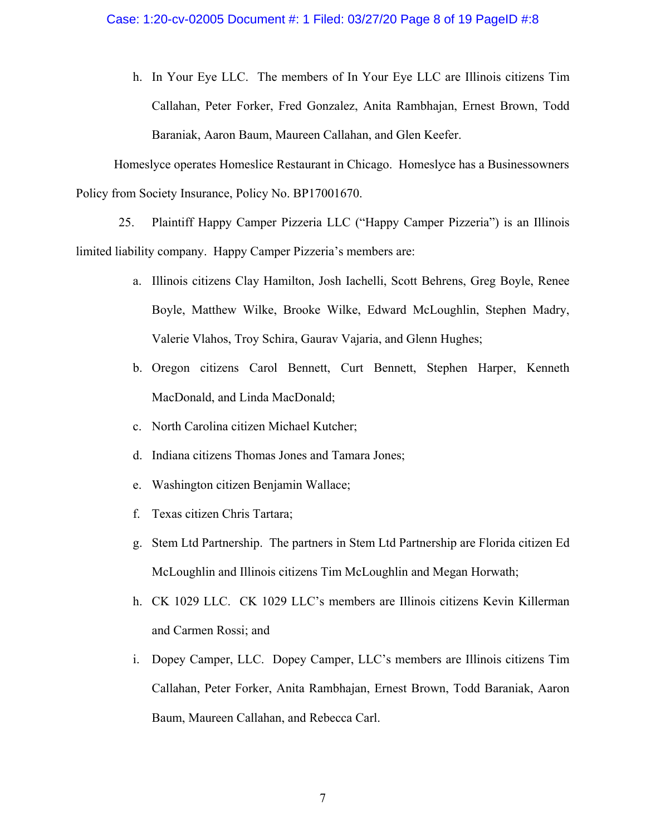h. In Your Eye LLC. The members of In Your Eye LLC are Illinois citizens Tim Callahan, Peter Forker, Fred Gonzalez, Anita Rambhajan, Ernest Brown, Todd Baraniak, Aaron Baum, Maureen Callahan, and Glen Keefer.

Homeslyce operates Homeslice Restaurant in Chicago. Homeslyce has a Businessowners Policy from Society Insurance, Policy No. BP17001670.

25. Plaintiff Happy Camper Pizzeria LLC ("Happy Camper Pizzeria") is an Illinois limited liability company. Happy Camper Pizzeria's members are:

- a. Illinois citizens Clay Hamilton, Josh Iachelli, Scott Behrens, Greg Boyle, Renee Boyle, Matthew Wilke, Brooke Wilke, Edward McLoughlin, Stephen Madry, Valerie Vlahos, Troy Schira, Gaurav Vajaria, and Glenn Hughes;
- b. Oregon citizens Carol Bennett, Curt Bennett, Stephen Harper, Kenneth MacDonald, and Linda MacDonald;
- c. North Carolina citizen Michael Kutcher;
- d. Indiana citizens Thomas Jones and Tamara Jones;
- e. Washington citizen Benjamin Wallace;
- f. Texas citizen Chris Tartara;
- g. Stem Ltd Partnership. The partners in Stem Ltd Partnership are Florida citizen Ed McLoughlin and Illinois citizens Tim McLoughlin and Megan Horwath;
- h. CK 1029 LLC. CK 1029 LLC's members are Illinois citizens Kevin Killerman and Carmen Rossi; and
- i. Dopey Camper, LLC. Dopey Camper, LLC's members are Illinois citizens Tim Callahan, Peter Forker, Anita Rambhajan, Ernest Brown, Todd Baraniak, Aaron Baum, Maureen Callahan, and Rebecca Carl.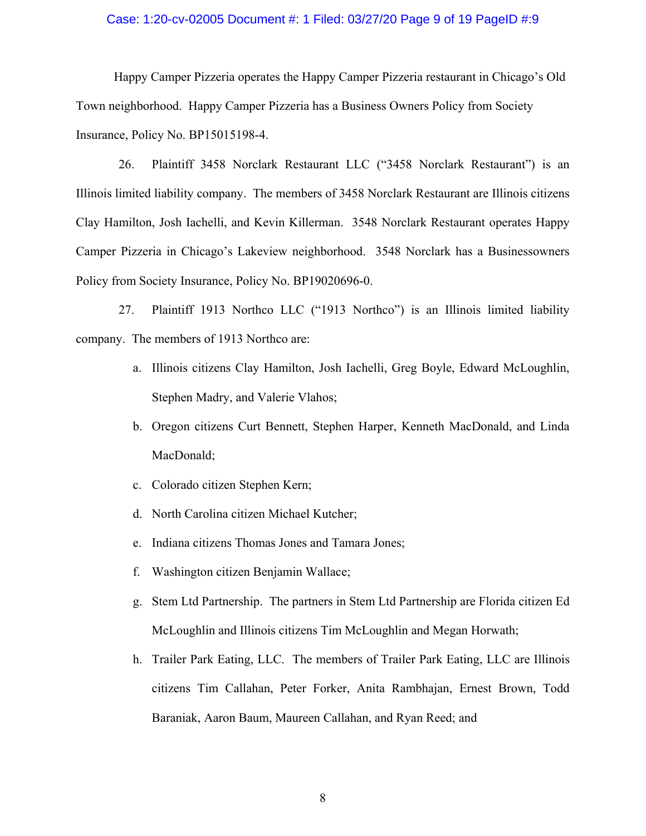#### Case: 1:20-cv-02005 Document #: 1 Filed: 03/27/20 Page 9 of 19 PageID #:9

Happy Camper Pizzeria operates the Happy Camper Pizzeria restaurant in Chicago's Old Town neighborhood. Happy Camper Pizzeria has a Business Owners Policy from Society Insurance, Policy No. BP15015198-4.

26. Plaintiff 3458 Norclark Restaurant LLC ("3458 Norclark Restaurant") is an Illinois limited liability company. The members of 3458 Norclark Restaurant are Illinois citizens Clay Hamilton, Josh Iachelli, and Kevin Killerman. 3548 Norclark Restaurant operates Happy Camper Pizzeria in Chicago's Lakeview neighborhood. 3548 Norclark has a Businessowners Policy from Society Insurance, Policy No. BP19020696-0.

27. Plaintiff 1913 Northco LLC ("1913 Northco") is an Illinois limited liability company. The members of 1913 Northco are:

- a. Illinois citizens Clay Hamilton, Josh Iachelli, Greg Boyle, Edward McLoughlin, Stephen Madry, and Valerie Vlahos;
- b. Oregon citizens Curt Bennett, Stephen Harper, Kenneth MacDonald, and Linda MacDonald;
- c. Colorado citizen Stephen Kern;
- d. North Carolina citizen Michael Kutcher;
- e. Indiana citizens Thomas Jones and Tamara Jones;
- f. Washington citizen Benjamin Wallace;
- g. Stem Ltd Partnership. The partners in Stem Ltd Partnership are Florida citizen Ed McLoughlin and Illinois citizens Tim McLoughlin and Megan Horwath;
- h. Trailer Park Eating, LLC. The members of Trailer Park Eating, LLC are Illinois citizens Tim Callahan, Peter Forker, Anita Rambhajan, Ernest Brown, Todd Baraniak, Aaron Baum, Maureen Callahan, and Ryan Reed; and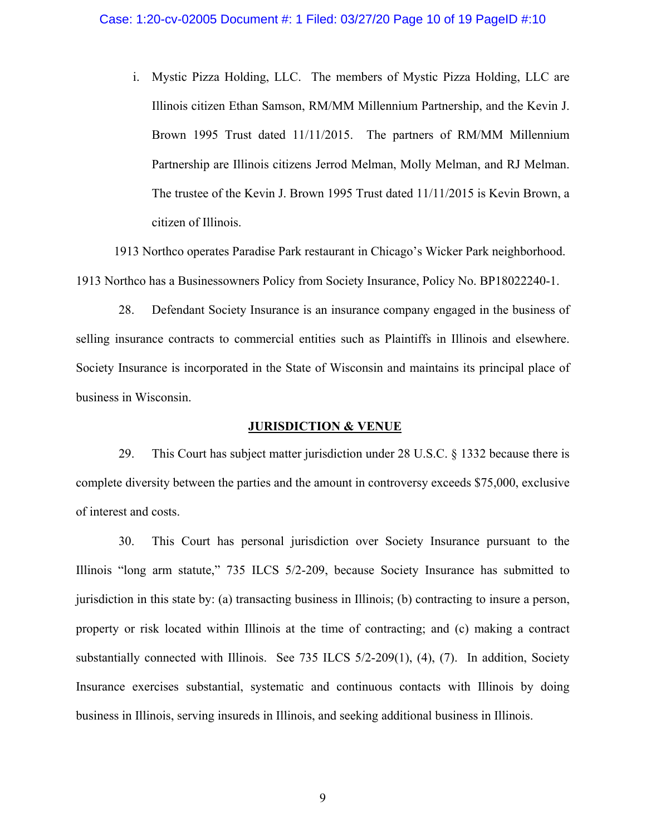i. Mystic Pizza Holding, LLC. The members of Mystic Pizza Holding, LLC are Illinois citizen Ethan Samson, RM/MM Millennium Partnership, and the Kevin J. Brown 1995 Trust dated 11/11/2015. The partners of RM/MM Millennium Partnership are Illinois citizens Jerrod Melman, Molly Melman, and RJ Melman. The trustee of the Kevin J. Brown 1995 Trust dated 11/11/2015 is Kevin Brown, a citizen of Illinois.

1913 Northco operates Paradise Park restaurant in Chicago's Wicker Park neighborhood. 1913 Northco has a Businessowners Policy from Society Insurance, Policy No. BP18022240-1.

28. Defendant Society Insurance is an insurance company engaged in the business of selling insurance contracts to commercial entities such as Plaintiffs in Illinois and elsewhere. Society Insurance is incorporated in the State of Wisconsin and maintains its principal place of business in Wisconsin.

#### **JURISDICTION & VENUE**

29. This Court has subject matter jurisdiction under 28 U.S.C. § 1332 because there is complete diversity between the parties and the amount in controversy exceeds \$75,000, exclusive of interest and costs.

30. This Court has personal jurisdiction over Society Insurance pursuant to the Illinois "long arm statute," 735 ILCS 5/2-209, because Society Insurance has submitted to jurisdiction in this state by: (a) transacting business in Illinois; (b) contracting to insure a person, property or risk located within Illinois at the time of contracting; and (c) making a contract substantially connected with Illinois. See 735 ILCS 5/2-209(1), (4), (7). In addition, Society Insurance exercises substantial, systematic and continuous contacts with Illinois by doing business in Illinois, serving insureds in Illinois, and seeking additional business in Illinois.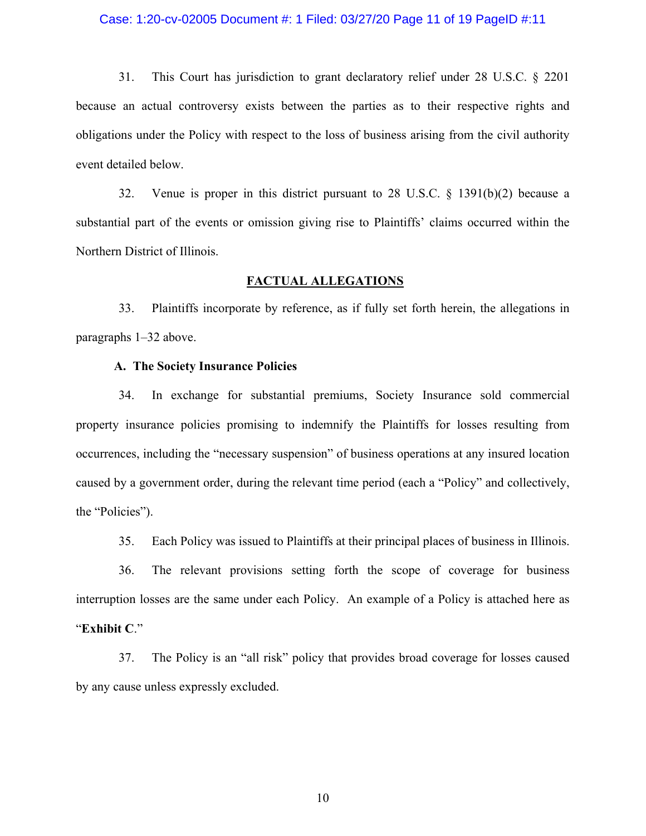#### Case: 1:20-cv-02005 Document #: 1 Filed: 03/27/20 Page 11 of 19 PageID #:11

31. This Court has jurisdiction to grant declaratory relief under 28 U.S.C. § 2201 because an actual controversy exists between the parties as to their respective rights and obligations under the Policy with respect to the loss of business arising from the civil authority event detailed below.

32. Venue is proper in this district pursuant to 28 U.S.C. § 1391(b)(2) because a substantial part of the events or omission giving rise to Plaintiffs' claims occurred within the Northern District of Illinois.

## **FACTUAL ALLEGATIONS**

33. Plaintiffs incorporate by reference, as if fully set forth herein, the allegations in paragraphs 1–32 above.

### **A. The Society Insurance Policies**

34. In exchange for substantial premiums, Society Insurance sold commercial property insurance policies promising to indemnify the Plaintiffs for losses resulting from occurrences, including the "necessary suspension" of business operations at any insured location caused by a government order, during the relevant time period (each a "Policy" and collectively, the "Policies").

35. Each Policy was issued to Plaintiffs at their principal places of business in Illinois.

36. The relevant provisions setting forth the scope of coverage for business interruption losses are the same under each Policy. An example of a Policy is attached here as "**Exhibit C**."

37. The Policy is an "all risk" policy that provides broad coverage for losses caused by any cause unless expressly excluded.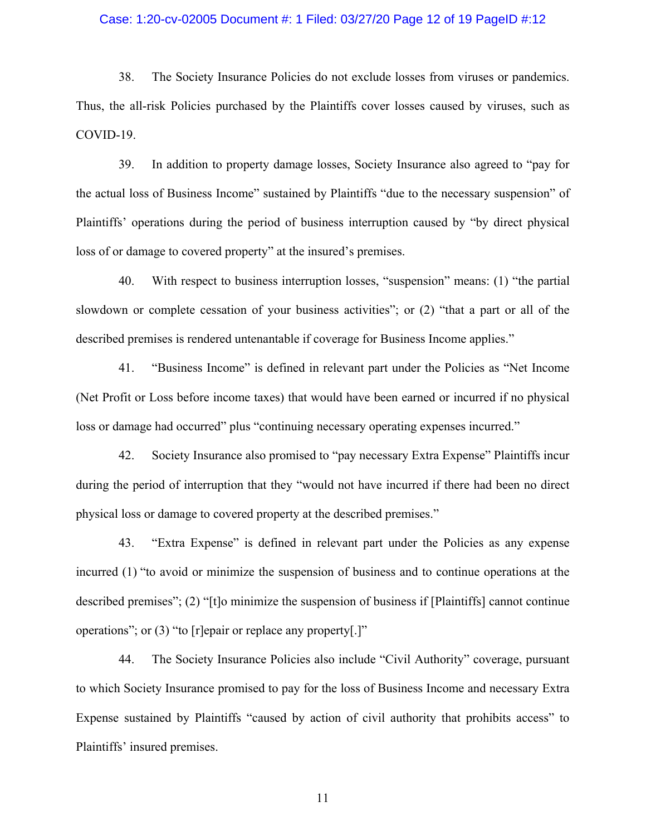#### Case: 1:20-cv-02005 Document #: 1 Filed: 03/27/20 Page 12 of 19 PageID #:12

38. The Society Insurance Policies do not exclude losses from viruses or pandemics. Thus, the all-risk Policies purchased by the Plaintiffs cover losses caused by viruses, such as COVID-19.

39. In addition to property damage losses, Society Insurance also agreed to "pay for the actual loss of Business Income" sustained by Plaintiffs "due to the necessary suspension" of Plaintiffs' operations during the period of business interruption caused by "by direct physical loss of or damage to covered property" at the insured's premises.

40. With respect to business interruption losses, "suspension" means: (1) "the partial slowdown or complete cessation of your business activities"; or (2) "that a part or all of the described premises is rendered untenantable if coverage for Business Income applies."

41. "Business Income" is defined in relevant part under the Policies as "Net Income (Net Profit or Loss before income taxes) that would have been earned or incurred if no physical loss or damage had occurred" plus "continuing necessary operating expenses incurred."

42. Society Insurance also promised to "pay necessary Extra Expense" Plaintiffs incur during the period of interruption that they "would not have incurred if there had been no direct physical loss or damage to covered property at the described premises."

43. "Extra Expense" is defined in relevant part under the Policies as any expense incurred (1) "to avoid or minimize the suspension of business and to continue operations at the described premises"; (2) "[t]o minimize the suspension of business if [Plaintiffs] cannot continue operations"; or (3) "to [r]epair or replace any property[.]"

44. The Society Insurance Policies also include "Civil Authority" coverage, pursuant to which Society Insurance promised to pay for the loss of Business Income and necessary Extra Expense sustained by Plaintiffs "caused by action of civil authority that prohibits access" to Plaintiffs' insured premises.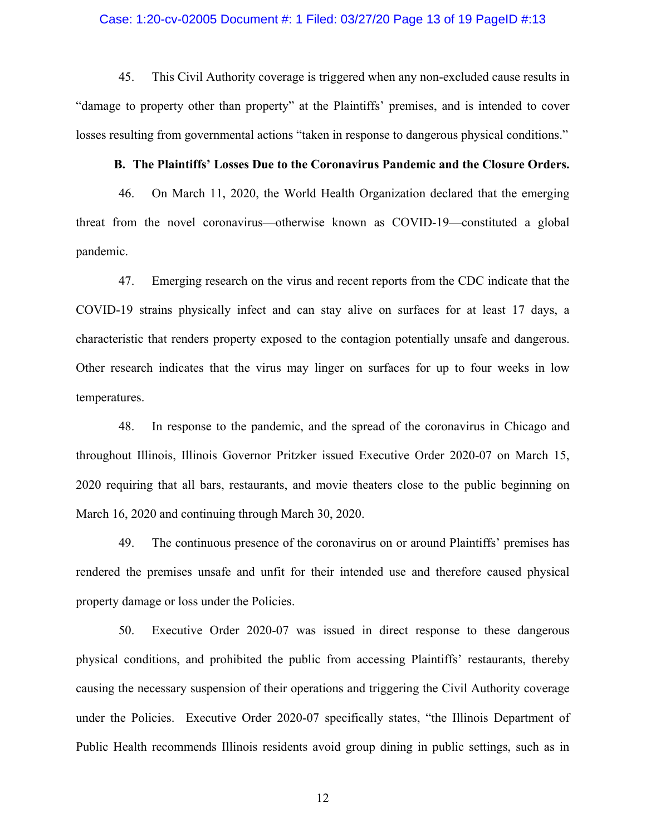#### Case: 1:20-cv-02005 Document #: 1 Filed: 03/27/20 Page 13 of 19 PageID #:13

45. This Civil Authority coverage is triggered when any non-excluded cause results in "damage to property other than property" at the Plaintiffs' premises, and is intended to cover losses resulting from governmental actions "taken in response to dangerous physical conditions."

#### **B. The Plaintiffs' Losses Due to the Coronavirus Pandemic and the Closure Orders.**

46. On March 11, 2020, the World Health Organization declared that the emerging threat from the novel coronavirus—otherwise known as COVID-19—constituted a global pandemic.

47. Emerging research on the virus and recent reports from the CDC indicate that the COVID-19 strains physically infect and can stay alive on surfaces for at least 17 days, a characteristic that renders property exposed to the contagion potentially unsafe and dangerous. Other research indicates that the virus may linger on surfaces for up to four weeks in low temperatures.

48. In response to the pandemic, and the spread of the coronavirus in Chicago and throughout Illinois, Illinois Governor Pritzker issued Executive Order 2020-07 on March 15, 2020 requiring that all bars, restaurants, and movie theaters close to the public beginning on March 16, 2020 and continuing through March 30, 2020.

49. The continuous presence of the coronavirus on or around Plaintiffs' premises has rendered the premises unsafe and unfit for their intended use and therefore caused physical property damage or loss under the Policies.

50. Executive Order 2020-07 was issued in direct response to these dangerous physical conditions, and prohibited the public from accessing Plaintiffs' restaurants, thereby causing the necessary suspension of their operations and triggering the Civil Authority coverage under the Policies. Executive Order 2020-07 specifically states, "the Illinois Department of Public Health recommends Illinois residents avoid group dining in public settings, such as in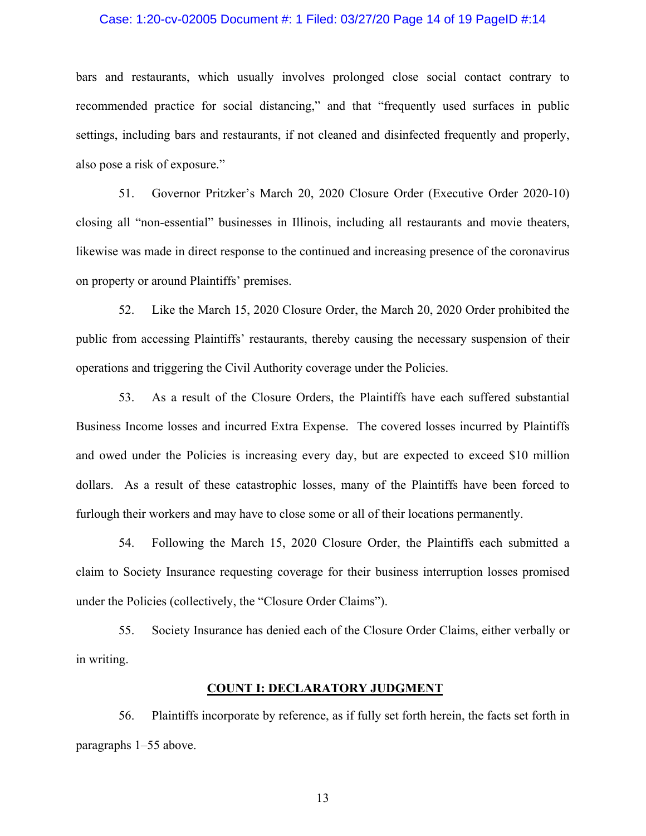#### Case: 1:20-cv-02005 Document #: 1 Filed: 03/27/20 Page 14 of 19 PageID #:14

bars and restaurants, which usually involves prolonged close social contact contrary to recommended practice for social distancing," and that "frequently used surfaces in public settings, including bars and restaurants, if not cleaned and disinfected frequently and properly, also pose a risk of exposure."

51. Governor Pritzker's March 20, 2020 Closure Order (Executive Order 2020-10) closing all "non-essential" businesses in Illinois, including all restaurants and movie theaters, likewise was made in direct response to the continued and increasing presence of the coronavirus on property or around Plaintiffs' premises.

52. Like the March 15, 2020 Closure Order, the March 20, 2020 Order prohibited the public from accessing Plaintiffs' restaurants, thereby causing the necessary suspension of their operations and triggering the Civil Authority coverage under the Policies.

53. As a result of the Closure Orders, the Plaintiffs have each suffered substantial Business Income losses and incurred Extra Expense. The covered losses incurred by Plaintiffs and owed under the Policies is increasing every day, but are expected to exceed \$10 million dollars. As a result of these catastrophic losses, many of the Plaintiffs have been forced to furlough their workers and may have to close some or all of their locations permanently.

54. Following the March 15, 2020 Closure Order, the Plaintiffs each submitted a claim to Society Insurance requesting coverage for their business interruption losses promised under the Policies (collectively, the "Closure Order Claims").

55. Society Insurance has denied each of the Closure Order Claims, either verbally or in writing.

#### **COUNT I: DECLARATORY JUDGMENT**

56. Plaintiffs incorporate by reference, as if fully set forth herein, the facts set forth in paragraphs 1–55 above.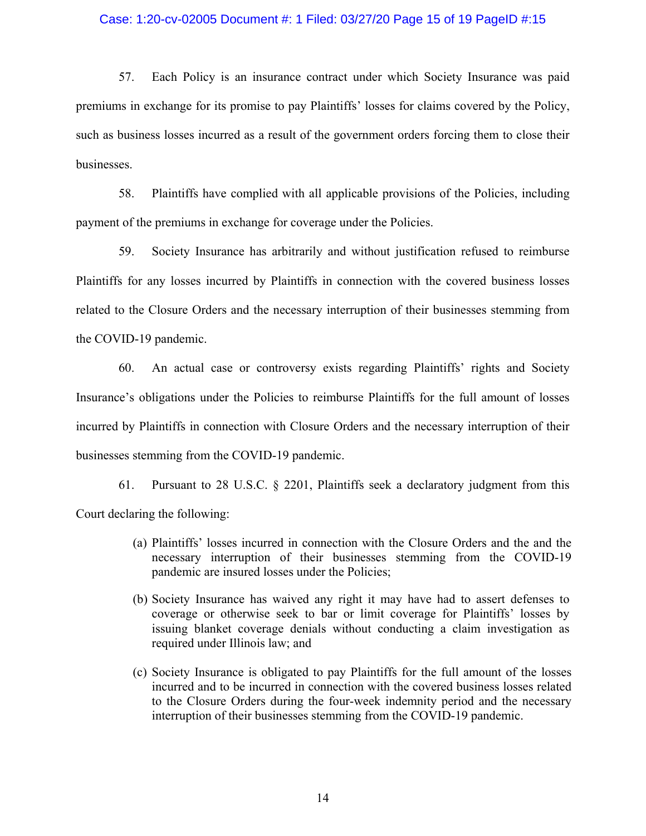#### Case: 1:20-cv-02005 Document #: 1 Filed: 03/27/20 Page 15 of 19 PageID #:15

57. Each Policy is an insurance contract under which Society Insurance was paid premiums in exchange for its promise to pay Plaintiffs' losses for claims covered by the Policy, such as business losses incurred as a result of the government orders forcing them to close their businesses.

58. Plaintiffs have complied with all applicable provisions of the Policies, including payment of the premiums in exchange for coverage under the Policies.

59. Society Insurance has arbitrarily and without justification refused to reimburse Plaintiffs for any losses incurred by Plaintiffs in connection with the covered business losses related to the Closure Orders and the necessary interruption of their businesses stemming from the COVID-19 pandemic.

60. An actual case or controversy exists regarding Plaintiffs' rights and Society Insurance's obligations under the Policies to reimburse Plaintiffs for the full amount of losses incurred by Plaintiffs in connection with Closure Orders and the necessary interruption of their businesses stemming from the COVID-19 pandemic.

61. Pursuant to 28 U.S.C. § 2201, Plaintiffs seek a declaratory judgment from this Court declaring the following:

- (a) Plaintiffs' losses incurred in connection with the Closure Orders and the and the necessary interruption of their businesses stemming from the COVID-19 pandemic are insured losses under the Policies;
- (b) Society Insurance has waived any right it may have had to assert defenses to coverage or otherwise seek to bar or limit coverage for Plaintiffs' losses by issuing blanket coverage denials without conducting a claim investigation as required under Illinois law; and
- (c) Society Insurance is obligated to pay Plaintiffs for the full amount of the losses incurred and to be incurred in connection with the covered business losses related to the Closure Orders during the four-week indemnity period and the necessary interruption of their businesses stemming from the COVID-19 pandemic.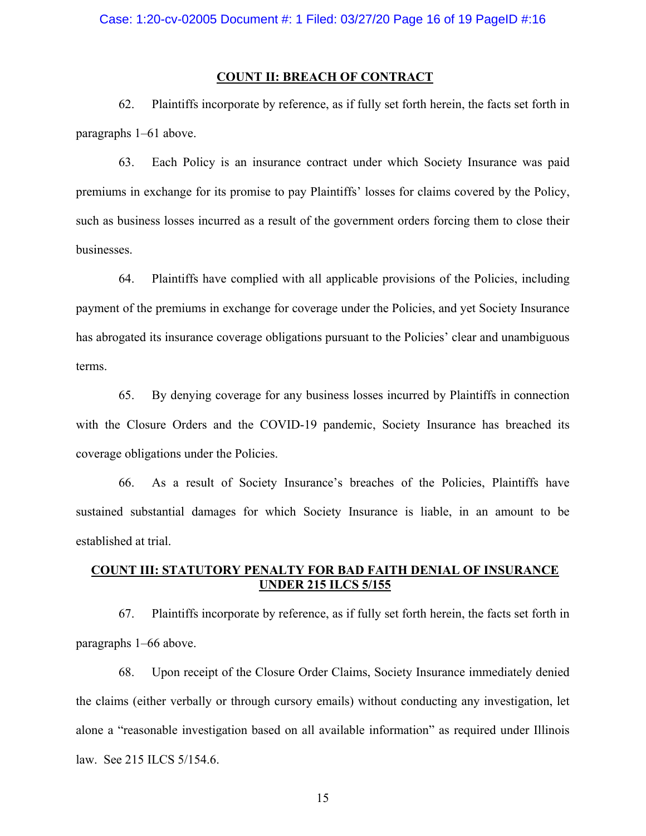### **COUNT II: BREACH OF CONTRACT**

62. Plaintiffs incorporate by reference, as if fully set forth herein, the facts set forth in paragraphs 1–61 above.

63. Each Policy is an insurance contract under which Society Insurance was paid premiums in exchange for its promise to pay Plaintiffs' losses for claims covered by the Policy, such as business losses incurred as a result of the government orders forcing them to close their businesses.

64. Plaintiffs have complied with all applicable provisions of the Policies, including payment of the premiums in exchange for coverage under the Policies, and yet Society Insurance has abrogated its insurance coverage obligations pursuant to the Policies' clear and unambiguous terms.

65. By denying coverage for any business losses incurred by Plaintiffs in connection with the Closure Orders and the COVID-19 pandemic, Society Insurance has breached its coverage obligations under the Policies.

66. As a result of Society Insurance's breaches of the Policies, Plaintiffs have sustained substantial damages for which Society Insurance is liable, in an amount to be established at trial.

# **COUNT III: STATUTORY PENALTY FOR BAD FAITH DENIAL OF INSURANCE UNDER 215 ILCS 5/155**

67. Plaintiffs incorporate by reference, as if fully set forth herein, the facts set forth in paragraphs 1–66 above.

68. Upon receipt of the Closure Order Claims, Society Insurance immediately denied the claims (either verbally or through cursory emails) without conducting any investigation, let alone a "reasonable investigation based on all available information" as required under Illinois law. See 215 ILCS 5/154.6.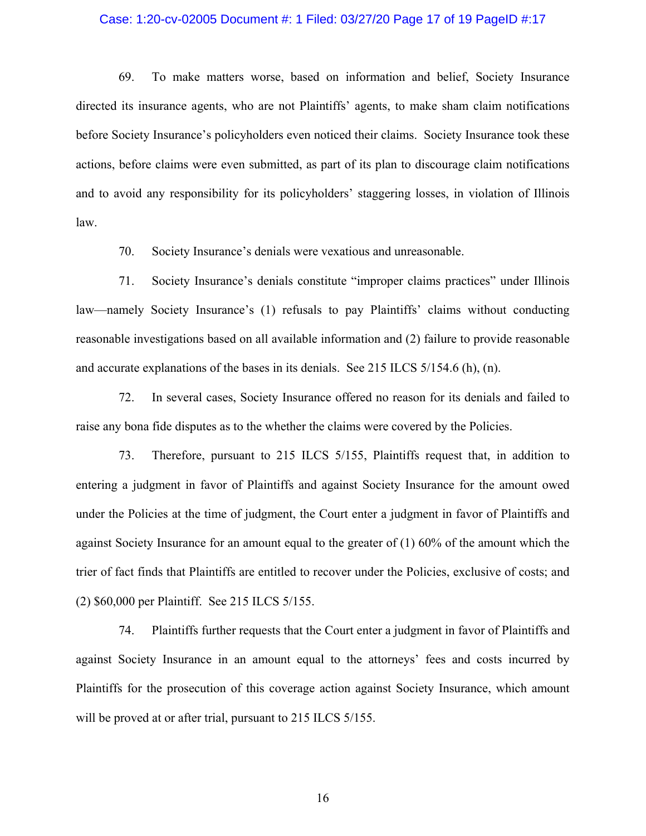#### Case: 1:20-cv-02005 Document #: 1 Filed: 03/27/20 Page 17 of 19 PageID #:17

69. To make matters worse, based on information and belief, Society Insurance directed its insurance agents, who are not Plaintiffs' agents, to make sham claim notifications before Society Insurance's policyholders even noticed their claims. Society Insurance took these actions, before claims were even submitted, as part of its plan to discourage claim notifications and to avoid any responsibility for its policyholders' staggering losses, in violation of Illinois law.

70. Society Insurance's denials were vexatious and unreasonable.

71. Society Insurance's denials constitute "improper claims practices" under Illinois law—namely Society Insurance's (1) refusals to pay Plaintiffs' claims without conducting reasonable investigations based on all available information and (2) failure to provide reasonable and accurate explanations of the bases in its denials. See 215 ILCS 5/154.6 (h), (n).

72. In several cases, Society Insurance offered no reason for its denials and failed to raise any bona fide disputes as to the whether the claims were covered by the Policies.

73. Therefore, pursuant to 215 ILCS 5/155, Plaintiffs request that, in addition to entering a judgment in favor of Plaintiffs and against Society Insurance for the amount owed under the Policies at the time of judgment, the Court enter a judgment in favor of Plaintiffs and against Society Insurance for an amount equal to the greater of (1) 60% of the amount which the trier of fact finds that Plaintiffs are entitled to recover under the Policies, exclusive of costs; and (2) \$60,000 per Plaintiff. See 215 ILCS 5/155.

74. Plaintiffs further requests that the Court enter a judgment in favor of Plaintiffs and against Society Insurance in an amount equal to the attorneys' fees and costs incurred by Plaintiffs for the prosecution of this coverage action against Society Insurance, which amount will be proved at or after trial, pursuant to 215 ILCS 5/155.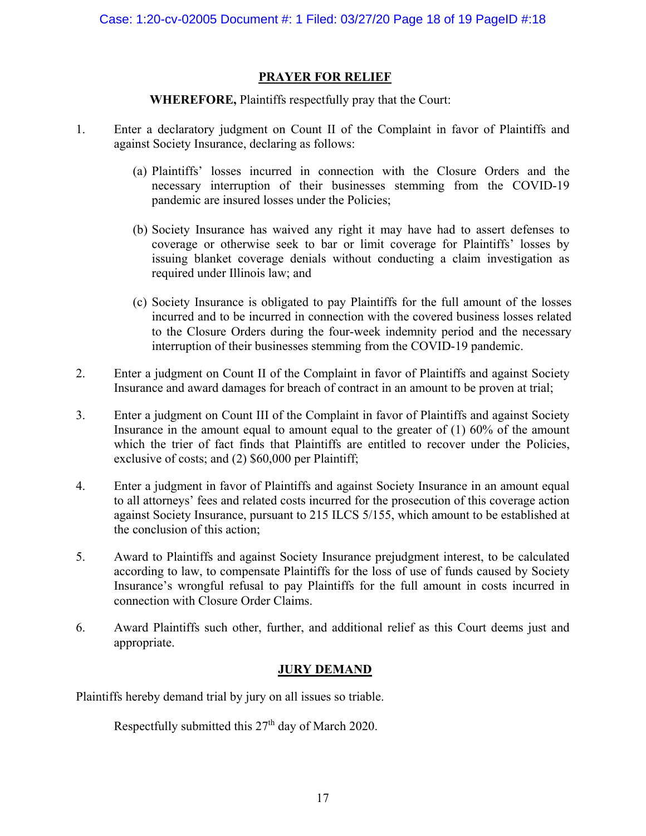# **PRAYER FOR RELIEF**

# **WHEREFORE,** Plaintiffs respectfully pray that the Court:

- 1. Enter a declaratory judgment on Count II of the Complaint in favor of Plaintiffs and against Society Insurance, declaring as follows:
	- (a) Plaintiffs' losses incurred in connection with the Closure Orders and the necessary interruption of their businesses stemming from the COVID-19 pandemic are insured losses under the Policies;
	- (b) Society Insurance has waived any right it may have had to assert defenses to coverage or otherwise seek to bar or limit coverage for Plaintiffs' losses by issuing blanket coverage denials without conducting a claim investigation as required under Illinois law; and
	- (c) Society Insurance is obligated to pay Plaintiffs for the full amount of the losses incurred and to be incurred in connection with the covered business losses related to the Closure Orders during the four-week indemnity period and the necessary interruption of their businesses stemming from the COVID-19 pandemic.
- 2. Enter a judgment on Count II of the Complaint in favor of Plaintiffs and against Society Insurance and award damages for breach of contract in an amount to be proven at trial;
- 3. Enter a judgment on Count III of the Complaint in favor of Plaintiffs and against Society Insurance in the amount equal to amount equal to the greater of (1) 60% of the amount which the trier of fact finds that Plaintiffs are entitled to recover under the Policies, exclusive of costs; and (2) \$60,000 per Plaintiff;
- 4. Enter a judgment in favor of Plaintiffs and against Society Insurance in an amount equal to all attorneys' fees and related costs incurred for the prosecution of this coverage action against Society Insurance, pursuant to 215 ILCS 5/155, which amount to be established at the conclusion of this action;
- 5. Award to Plaintiffs and against Society Insurance prejudgment interest, to be calculated according to law, to compensate Plaintiffs for the loss of use of funds caused by Society Insurance's wrongful refusal to pay Plaintiffs for the full amount in costs incurred in connection with Closure Order Claims.
- 6. Award Plaintiffs such other, further, and additional relief as this Court deems just and appropriate.

# **JURY DEMAND**

Plaintiffs hereby demand trial by jury on all issues so triable.

Respectfully submitted this  $27<sup>th</sup>$  day of March 2020.